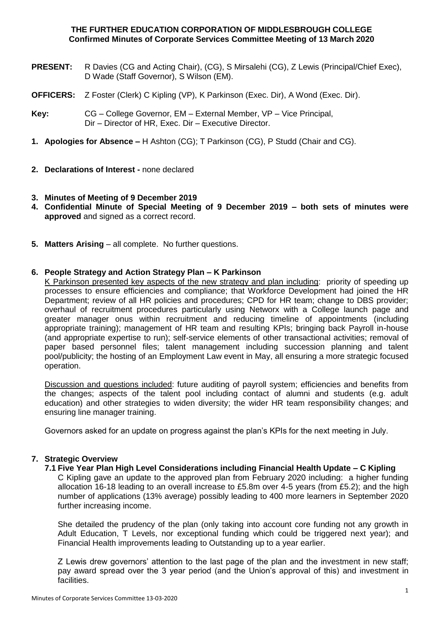### **THE FURTHER EDUCATION CORPORATION OF MIDDLESBROUGH COLLEGE Confirmed Minutes of Corporate Services Committee Meeting of 13 March 2020**

- **PRESENT:** R Davies (CG and Acting Chair), (CG), S Mirsalehi (CG), Z Lewis (Principal/Chief Exec), D Wade (Staff Governor), S Wilson (EM).
- **OFFICERS:** Z Foster (Clerk) C Kipling (VP), K Parkinson (Exec. Dir), A Wond (Exec. Dir).
- **Key:** CG College Governor, EM External Member, VP Vice Principal, Dir – Director of HR, Exec. Dir – Executive Director.
- **1. Apologies for Absence –** H Ashton (CG); T Parkinson (CG), P Studd (Chair and CG).
- **2. Declarations of Interest -** none declared

### **3. Minutes of Meeting of 9 December 2019**

- **4. Confidential Minute of Special Meeting of 9 December 2019 – both sets of minutes were approved** and signed as a correct record.
- **5. Matters Arising** all complete. No further questions.

### **6. People Strategy and Action Strategy Plan – K Parkinson**

K Parkinson presented key aspects of the new strategy and plan including: priority of speeding up processes to ensure efficiencies and compliance; that Workforce Development had joined the HR Department; review of all HR policies and procedures; CPD for HR team; change to DBS provider; overhaul of recruitment procedures particularly using Networx with a College launch page and greater manager onus within recruitment and reducing timeline of appointments (including appropriate training); management of HR team and resulting KPIs; bringing back Payroll in-house (and appropriate expertise to run); self-service elements of other transactional activities; removal of paper based personnel files; talent management including succession planning and talent pool/publicity; the hosting of an Employment Law event in May, all ensuring a more strategic focused operation.

Discussion and questions included: future auditing of payroll system; efficiencies and benefits from the changes; aspects of the talent pool including contact of alumni and students (e.g. adult education) and other strategies to widen diversity; the wider HR team responsibility changes; and ensuring line manager training.

Governors asked for an update on progress against the plan's KPIs for the next meeting in July.

### **7. Strategic Overview**

### **7.1 Five Year Plan High Level Considerations including Financial Health Update – C Kipling**

C Kipling gave an update to the approved plan from February 2020 including: a higher funding allocation 16-18 leading to an overall increase to £5.8m over 4-5 years (from £5.2); and the high number of applications (13% average) possibly leading to 400 more learners in September 2020 further increasing income.

She detailed the prudency of the plan (only taking into account core funding not any growth in Adult Education, T Levels, nor exceptional funding which could be triggered next year); and Financial Health improvements leading to Outstanding up to a year earlier.

Z Lewis drew governors' attention to the last page of the plan and the investment in new staff; pay award spread over the 3 year period (and the Union's approval of this) and investment in facilities.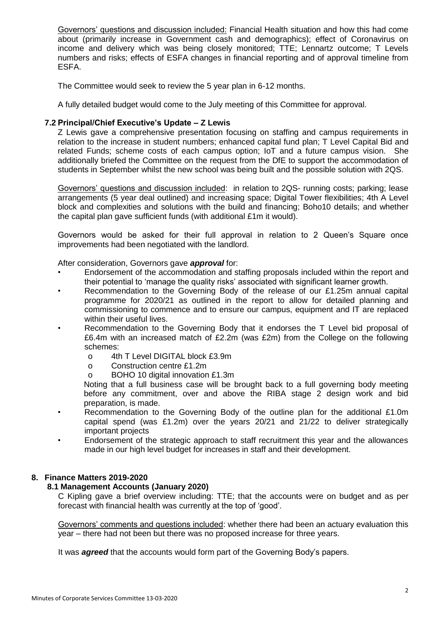Governors' questions and discussion included: Financial Health situation and how this had come about (primarily increase in Government cash and demographics); effect of Coronavirus on income and delivery which was being closely monitored; TTE; Lennartz outcome; T Levels numbers and risks; effects of ESFA changes in financial reporting and of approval timeline from ESFA.

The Committee would seek to review the 5 year plan in 6-12 months.

A fully detailed budget would come to the July meeting of this Committee for approval.

# **7.2 Principal/Chief Executive's Update – Z Lewis**

Z Lewis gave a comprehensive presentation focusing on staffing and campus requirements in relation to the increase in student numbers; enhanced capital fund plan; T Level Capital Bid and related Funds; scheme costs of each campus option; IoT and a future campus vision. She additionally briefed the Committee on the request from the DfE to support the accommodation of students in September whilst the new school was being built and the possible solution with 2QS.

Governors' questions and discussion included: in relation to 2QS- running costs; parking; lease arrangements (5 year deal outlined) and increasing space; Digital Tower flexibilities; 4th A Level block and complexities and solutions with the build and financing; Boho10 details; and whether the capital plan gave sufficient funds (with additional £1m it would).

Governors would be asked for their full approval in relation to 2 Queen's Square once improvements had been negotiated with the landlord.

After consideration, Governors gave *approval* for:

- Endorsement of the accommodation and staffing proposals included within the report and their potential to 'manage the quality risks' associated with significant learner growth.
- Recommendation to the Governing Body of the release of our £1.25m annual capital programme for 2020/21 as outlined in the report to allow for detailed planning and commissioning to commence and to ensure our campus, equipment and IT are replaced within their useful lives.
- Recommendation to the Governing Body that it endorses the T Level bid proposal of £6.4m with an increased match of £2.2m (was £2m) from the College on the following schemes:
	- o 4th T Level DIGITAL block £3.9m
	- o Construction centre £1.2m
	- o BOHO 10 digital innovation £1.3m

Noting that a full business case will be brought back to a full governing body meeting before any commitment, over and above the RIBA stage 2 design work and bid preparation, is made.

- Recommendation to the Governing Body of the outline plan for the additional £1.0m capital spend (was £1.2m) over the years 20/21 and 21/22 to deliver strategically important projects
- Endorsement of the strategic approach to staff recruitment this year and the allowances made in our high level budget for increases in staff and their development.

### **8. Finance Matters 2019-2020**

# **8.1 Management Accounts (January 2020)**

C Kipling gave a brief overview including: TTE; that the accounts were on budget and as per forecast with financial health was currently at the top of 'good'.

Governors' comments and questions included: whether there had been an actuary evaluation this year – there had not been but there was no proposed increase for three years.

It was *agreed* that the accounts would form part of the Governing Body's papers.